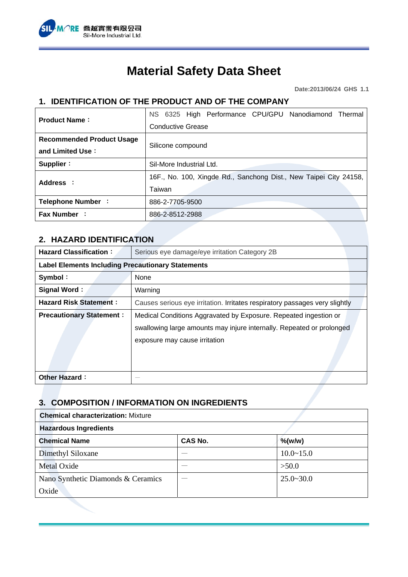

# **Material Safety Data Sheet**

**Date:2013/06/24 GHS 1.1** 

## **1. IDENTIFICATION OF THE PRODUCT AND OF THE COMPANY**

| <b>Product Name:</b>             | NS 6325 High Performance CPU/GPU Nanodiamond Thermal              |  |  |
|----------------------------------|-------------------------------------------------------------------|--|--|
|                                  | <b>Conductive Grease</b>                                          |  |  |
| <b>Recommended Product Usage</b> |                                                                   |  |  |
| and Limited Use:                 | Silicone compound                                                 |  |  |
| Supplier:                        | Sil-More Industrial Ltd.                                          |  |  |
| Address :                        | 16F., No. 100, Xingde Rd., Sanchong Dist., New Taipei City 24158, |  |  |
|                                  | Taiwan                                                            |  |  |
| Telephone Number :               | 886-2-7705-9500                                                   |  |  |
| <b>Fax Number:</b>               | 886-2-8512-2988                                                   |  |  |

#### **2. HAZARD IDENTIFICATION**

| <b>Hazard Classification:</b>                            | Serious eye damage/eye irritation Category 2B                                                                                                                              |  |
|----------------------------------------------------------|----------------------------------------------------------------------------------------------------------------------------------------------------------------------------|--|
| <b>Label Elements Including Precautionary Statements</b> |                                                                                                                                                                            |  |
| Symbol:                                                  | None                                                                                                                                                                       |  |
| Signal Word:                                             | Warning                                                                                                                                                                    |  |
| <b>Hazard Risk Statement:</b>                            | Causes serious eye irritation. Irritates respiratory passages very slightly                                                                                                |  |
| <b>Precautionary Statement:</b>                          | Medical Conditions Aggravated by Exposure. Repeated ingestion or<br>swallowing large amounts may injure internally. Repeated or prolonged<br>exposure may cause irritation |  |
| <b>Other Hazard:</b>                                     |                                                                                                                                                                            |  |

#### **3. COMPOSITION / INFORMATION ON INGREDIENTS**

| <b>Chemical characterization: Mixture</b> |                |               |
|-------------------------------------------|----------------|---------------|
| <b>Hazardous Ingredients</b>              |                |               |
| <b>Chemical Name</b>                      | <b>CAS No.</b> | $%$ (w/w)     |
| Dimethyl Siloxane                         |                | $10.0 - 15.0$ |
| <b>Metal Oxide</b>                        |                | >50.0         |
| Nano Synthetic Diamonds & Ceramics        |                | $25.0 - 30.0$ |
| Oxide                                     |                |               |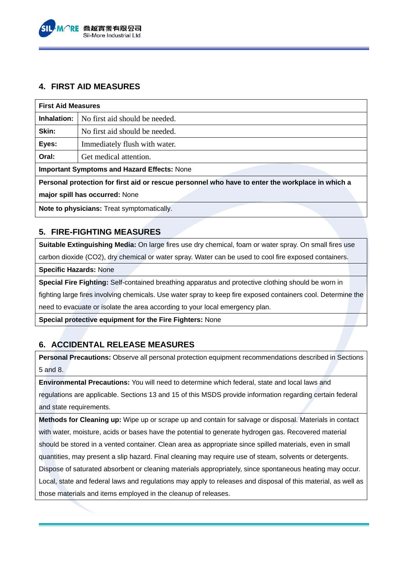

#### **4. FIRST AID MEASURES**

| <b>First Aid Measures</b>                                                                        |                                |  |
|--------------------------------------------------------------------------------------------------|--------------------------------|--|
| Inhalation:                                                                                      | No first aid should be needed. |  |
| Skin:                                                                                            | No first aid should be needed. |  |
| Eyes:                                                                                            | Immediately flush with water.  |  |
| Oral:                                                                                            | Get medical attention.         |  |
| <b>Important Symptoms and Hazard Effects: None</b>                                               |                                |  |
| Personal protection for first aid or rescue personnel who have to enter the workplace in which a |                                |  |
| major spill has occurred: None                                                                   |                                |  |
| <b>Note to physicians:</b> Treat symptomatically.                                                |                                |  |

### **5. FIRE-FIGHTING MEASURES**

**Suitable Extinguishing Media:** On large fires use dry chemical, foam or water spray. On small fires use carbon dioxide (CO2), dry chemical or water spray. Water can be used to cool fire exposed containers.

**Specific Hazards:** None

**Special Fire Fighting:** Self-contained breathing apparatus and protective clothing should be worn in fighting large fires involving chemicals. Use water spray to keep fire exposed containers cool. Determine the need to evacuate or isolate the area according to your local emergency plan.

**Special protective equipment for the Fire Fighters:** None

## **6. ACCIDENTAL RELEASE MEASURES**

**Personal Precautions:** Observe all personal protection equipment recommendations described in Sections 5 and 8.

**Environmental Precautions:** You will need to determine which federal, state and local laws and regulations are applicable. Sections 13 and 15 of this MSDS provide information regarding certain federal and state requirements.

**Methods for Cleaning up:** Wipe up or scrape up and contain for salvage or disposal. Materials in contact with water, moisture, acids or bases have the potential to generate hydrogen gas. Recovered material should be stored in a vented container. Clean area as appropriate since spilled materials, even in small quantities, may present a slip hazard. Final cleaning may require use of steam, solvents or detergents. Dispose of saturated absorbent or cleaning materials appropriately, since spontaneous heating may occur. Local, state and federal laws and regulations may apply to releases and disposal of this material, as well as those materials and items employed in the cleanup of releases.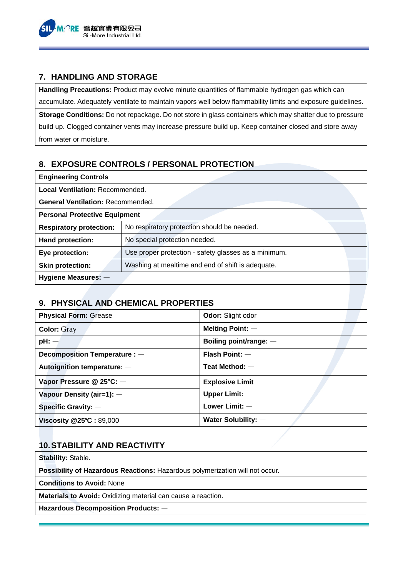

#### **7. HANDLING AND STORAGE**

**Handling Precautions:** Product may evolve minute quantities of flammable hydrogen gas which can accumulate. Adequately ventilate to maintain vapors well below flammability limits and exposure guidelines. **Storage Conditions:** Do not repackage. Do not store in glass containers which may shatter due to pressure build up. Clogged container vents may increase pressure build up. Keep container closed and store away from water or moisture.

## **8. EXPOSURE CONTROLS / PERSONAL PROTECTION**

| <b>Engineering Controls</b>              |                                                      |
|------------------------------------------|------------------------------------------------------|
| <b>Local Ventilation: Recommended.</b>   |                                                      |
| <b>General Ventilation: Recommended.</b> |                                                      |
| <b>Personal Protective Equipment</b>     |                                                      |
| <b>Respiratory protection:</b>           | No respiratory protection should be needed.          |
| Hand protection:                         | No special protection needed.                        |
| Eye protection:                          | Use proper protection - safety glasses as a minimum. |
| <b>Skin protection:</b>                  | Washing at mealtime and end of shift is adequate.    |
| Hygiene Measures: -                      |                                                      |

### **9. PHYSICAL AND CHEMICAL PROPERTIES**

| <b>Physical Form: Grease</b>  | Odor: Slight odor      |
|-------------------------------|------------------------|
| <b>Color: Gray</b>            | Melting Point: $-$     |
| $pH:$ $-$                     | Boiling point/range: - |
| Decomposition Temperature : - | Flash Point: $-$       |
| Autoignition temperature: -   | Teat Method: $-$       |
| Vapor Pressure @ 25°C: -      | <b>Explosive Limit</b> |
| Vapour Density (air=1): -     | Upper Limit: $-$       |
| Specific Gravity: $-$         | Lower Limit: -         |
| Viscosity @25°C: 89,000       | Water Solubility: $-$  |

## **10. STABILITY AND REACTIVITY**

**Stability:** Stable.

**Possibility of Hazardous Reactions:** Hazardous polymerization will not occur.

**Conditions to Avoid:** None

**Materials to Avoid:** Oxidizing material can cause a reaction.

**Hazardous Decomposition Products:** —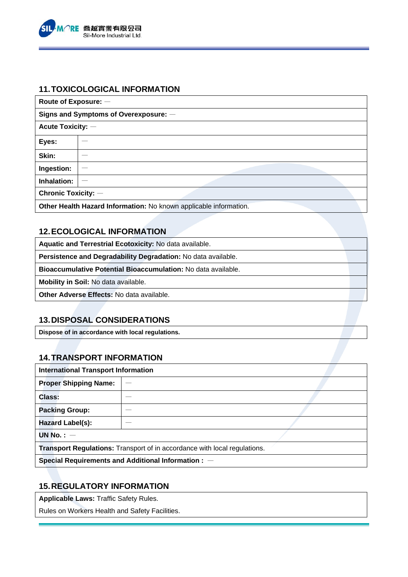

#### **11. TOXICOLOGICAL INFORMATION**

| Route of Exposure: -                                              |    |  |
|-------------------------------------------------------------------|----|--|
| Signs and Symptoms of Overexposure: -                             |    |  |
| <b>Acute Toxicity: -</b>                                          |    |  |
| Eyes:                                                             |    |  |
| Skin:                                                             |    |  |
| Ingestion:                                                        | __ |  |
| Inhalation:                                                       | -- |  |
| <b>Chronic Toxicity: -</b>                                        |    |  |
| Other Health Hazard Information: No known applicable information. |    |  |

## **12. ECOLOGICAL INFORMATION**

**Aquatic and Terrestrial Ecotoxicity:** No data available.

**Persistence and Degradability Degradation:** No data available.

**Bioaccumulative Potential Bioaccumulation:** No data available.

**Mobility in Soil:** No data available.

**Other Adverse Effects:** No data available.

### **13. DISPOSAL CONSIDERATIONS**

**Dispose of in accordance with local regulations.** 

## **14. TRANSPORT INFORMATION**

| <b>International Transport Information</b>                                       |  |  |
|----------------------------------------------------------------------------------|--|--|
| <b>Proper Shipping Name:</b>                                                     |  |  |
| Class:                                                                           |  |  |
| <b>Packing Group:</b>                                                            |  |  |
| Hazard Label(s):                                                                 |  |  |
| UN No. $:$ $-$                                                                   |  |  |
| <b>Transport Regulations:</b> Transport of in accordance with local regulations. |  |  |
| Special Requirements and Additional Information : -                              |  |  |

### **15. REGULATORY INFORMATION**

**Applicable Laws:** Traffic Safety Rules.

Rules on Workers Health and Safety Facilities.